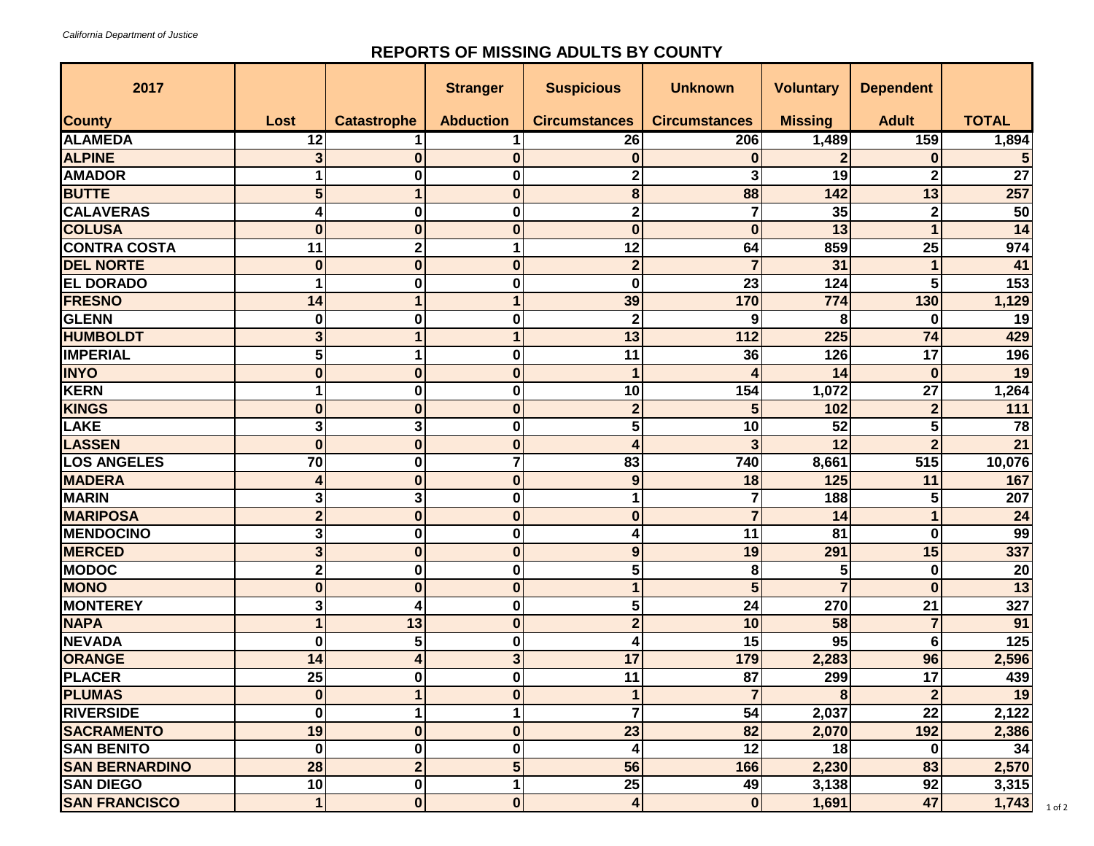## **REPORTS OF MISSING ADULTS BY COUNTY**

| 2017                  |                      |                    | <b>Stranger</b>  | <b>Suspicious</b>       | <b>Unknown</b>       | <b>Voluntary</b> | <b>Dependent</b> |                 |
|-----------------------|----------------------|--------------------|------------------|-------------------------|----------------------|------------------|------------------|-----------------|
| <b>County</b>         | Lost                 | <b>Catastrophe</b> | <b>Abduction</b> | <b>Circumstances</b>    | <b>Circumstances</b> | <b>Missing</b>   | <b>Adult</b>     | <b>TOTAL</b>    |
| <b>ALAMEDA</b>        | 12                   |                    |                  | 26                      | 206                  | 1,489            | 159              | 1,894           |
| <b>ALPINE</b>         | 3                    | $\bf{0}$           | $\bf{0}$         | $\bf{0}$                | $\bf{0}$             | $\mathbf{2}$     | $\bf{0}$         |                 |
| <b>AMADOR</b>         |                      | 0                  | 0                | $\overline{\mathbf{c}}$ | 3                    | 19               | 2                | 27              |
| <b>BUTTE</b>          | 5                    |                    | 0                | 8                       | 88                   | 142              | 13               | 257             |
| <b>CALAVERAS</b>      |                      | $\bf{0}$           | 0                | $\overline{\mathbf{c}}$ |                      | 35               | $\mathbf 2$      | $\overline{50}$ |
| <b>COLUSA</b>         | $\bf{0}$             | $\bf{0}$           | 0                | $\bf{0}$                | $\bf{0}$             | 13               |                  | 14              |
| <b>CONTRA COSTA</b>   | 11                   | $\mathbf 2$        |                  | 12                      | 64                   | 859              | $\overline{25}$  | 974             |
| <b>DEL NORTE</b>      | $\bf{0}$             | $\bf{0}$           | $\bf{0}$         | $\overline{\mathbf{2}}$ |                      | 31               |                  | 41              |
| <b>EL DORADO</b>      |                      | $\bf{0}$           | 0                | $\bf{0}$                | 23                   | 124              | 5                | 153             |
| <b>FRESNO</b>         | 14                   |                    |                  | 39                      | 170                  | 774              | 130              | 1,129           |
| <b>GLENN</b>          | 0                    | $\bf{0}$           | $\bf{0}$         | $\mathbf{2}$            | 9                    | 8                | $\bf{0}$         | 19              |
| <b>HUMBOLDT</b>       | 3                    | 1                  | 1                | 13                      | 112                  | 225              | 74               | 429             |
| <b>IMPERIAL</b>       | 5                    |                    | 0                | 11                      | 36                   | 126              | 17               | 196             |
| <b>INYO</b>           | $\bf{0}$             | $\bf{0}$           | $\bf{0}$         | $\mathbf{1}$            |                      | 14               | $\bf{0}$         | 19              |
| <b>KERN</b>           |                      | $\bf{0}$           | 0                | 10                      | 154                  | 1,072            | 27               | 1,264           |
| <b>KINGS</b>          | $\bf{0}$             | $\bf{0}$           | $\bf{0}$         | $\overline{2}$          | 5                    | 102              | $\overline{2}$   | 111             |
| LAKE                  | 3                    | 3                  | $\bf{0}$         | 5                       | 10                   | 52               | 5                | 78              |
| <b>LASSEN</b>         | $\bf{0}$             | $\bf{0}$           | 0                | 4                       | 3                    | 12               | $\overline{2}$   | 21              |
| <b>LOS ANGELES</b>    | 70                   | $\bf{0}$           | 7                | 83                      | 740                  | 8,661            | 515              | 10,076          |
| <b>MADERA</b>         | 4                    | $\bf{0}$           | $\bf{0}$         | 9                       | 18                   | 125              | 11               | 167             |
| <b>MARIN</b>          | 3                    | 3                  | 0                | 1                       | 7                    | 188              | 5                | 207             |
| <b>MARIPOSA</b>       | $\overline{2}$       | $\bf{0}$           | $\bf{0}$         | $\bf{0}$                | $\overline{7}$       | 14               |                  | $\overline{24}$ |
| <b>MENDOCINO</b>      | 3                    | $\bf{0}$           | $\bf{0}$         | 4                       | 11                   | 81               | $\bf{0}$         | 99              |
| <b>MERCED</b>         | 3                    | $\bf{0}$           | $\bf{0}$         | $\boldsymbol{9}$        | 19                   | 291              | 15               | 337             |
| <b>MODOC</b>          | $\overline{2}$       | $\bf{0}$           | $\bf{0}$         | 5                       | 8                    | 5                | $\bf{0}$         | $\overline{20}$ |
| <b>MONO</b>           | $\bf{0}$             | $\bf{0}$           | $\bf{0}$         | $\mathbf{1}$            | 5                    | $\overline{7}$   | $\bf{0}$         | 13              |
| <b>MONTEREY</b>       | 3                    | 4                  | 0                | 5                       | 24                   | 270              | 21               | 327             |
| <b>NAPA</b>           | $\blacktriangleleft$ | 13                 | 0                | $\overline{2}$          | 10                   | 58               | $\overline{7}$   | 91              |
| <b>NEVADA</b>         | 0                    | 5                  | $\bf{0}$         | 4                       | 15                   | $\overline{95}$  | 6                | 125             |
| ORANGE                | 14                   | 4                  | 3                | 17                      | 179                  | 2,283            | 96               | 2,596           |
| <b>PLACER</b>         | 25                   | $\bf{0}$           | $\bf{0}$         | 11                      | 87                   | 299              | 17               | 439             |
| <b>PLUMAS</b>         | $\mathbf{0}$         |                    | $\bf{0}$         | $\mathbf{1}$            | $\overline{7}$       | $\boldsymbol{8}$ | $\mathbf{2}$     | 19              |
| <b>RIVERSIDE</b>      | 0                    |                    | 1                | $\overline{7}$          | 54                   | 2,037            | $\overline{22}$  | 2,122           |
| <b>SACRAMENTO</b>     | 19                   | $\bf{0}$           | $\bf{0}$         | 23                      | 82                   | 2,070            | 192              | 2,386           |
| <b>SAN BENITO</b>     | $\bf{0}$             | $\bf{0}$           | $\bf{0}$         | 4                       | 12                   | 18               | $\bf{0}$         | 34              |
| <b>SAN BERNARDINO</b> | 28                   | $\overline{2}$     | 5                | 56                      | 166                  | 2,230            | 83               | 2,570           |
| <b>SAN DIEGO</b>      | 10                   | $\mathbf 0$        | 1                | $\overline{25}$         | 49                   | 3,138            | 92               | 3,315           |
| <b>SAN FRANCISCO</b>  | $\mathbf{1}$         | $\bf{0}$           | $\bf{0}$         | $\overline{\mathbf{4}}$ | $\bf{0}$             | 1,691            | 47               | 1,743           |